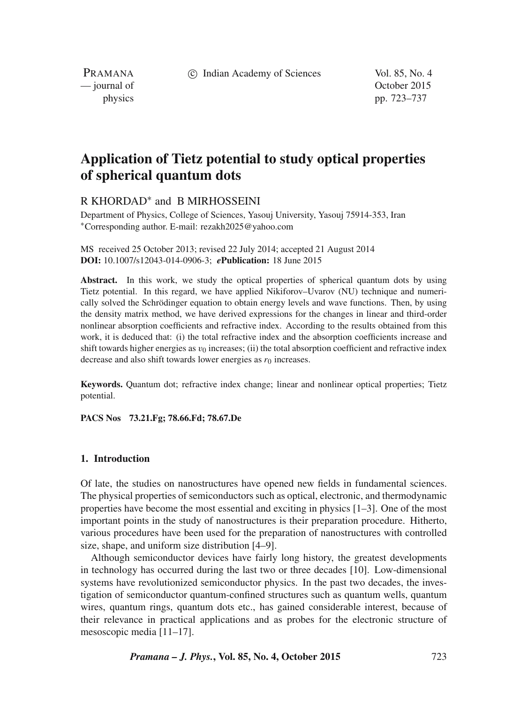c Indian Academy of Sciences Vol. 85, No. 4

PRAMANA<br>
— journal of

October 2015 physics pp. 723–737

# **Application of Tietz potential to study optical properties of spherical quantum dots**

# R KHORDAD∗ and B MIRHOSSEINI

Department of Physics, College of Sciences, Yasouj University, Yasouj 75914-353, Iran ∗Corresponding author. E-mail: rezakh2025@yahoo.com

MS received 25 October 2013; revised 22 July 2014; accepted 21 August 2014 **DOI:** 10.1007/s12043-014-0906-3; *e***Publication:** 18 June 2015

**Abstract.** In this work, we study the optical properties of spherical quantum dots by using Tietz potential. In this regard, we have applied Nikiforov–Uvarov (NU) technique and numerically solved the Schrödinger equation to obtain energy levels and wave functions. Then, by using the density matrix method, we have derived expressions for the changes in linear and third-order nonlinear absorption coefficients and refractive index. According to the results obtained from this work, it is deduced that: (i) the total refractive index and the absorption coefficients increase and shift towards higher energies as  $v_0$  increases; (ii) the total absorption coefficient and refractive index decrease and also shift towards lower energies as  $r_0$  increases.

**Keywords.** Quantum dot; refractive index change; linear and nonlinear optical properties; Tietz potential.

**PACS Nos 73.21.Fg; 78.66.Fd; 78.67.De**

#### **1. Introduction**

Of late, the studies on nanostructures have opened new fields in fundamental sciences. The physical properties of semiconductors such as optical, electronic, and thermodynamic properties have become the most essential and exciting in physics [1–3]. One of the most important points in the study of nanostructures is their preparation procedure. Hitherto, various procedures have been used for the preparation of nanostructures with controlled size, shape, and uniform size distribution [4–9].

Although semiconductor devices have fairly long history, the greatest developments in technology has occurred during the last two or three decades [10]. Low-dimensional systems have revolutionized semiconductor physics. In the past two decades, the investigation of semiconductor quantum-confined structures such as quantum wells, quantum wires, quantum rings, quantum dots etc., has gained considerable interest, because of their relevance in practical applications and as probes for the electronic structure of mesoscopic media [11–17].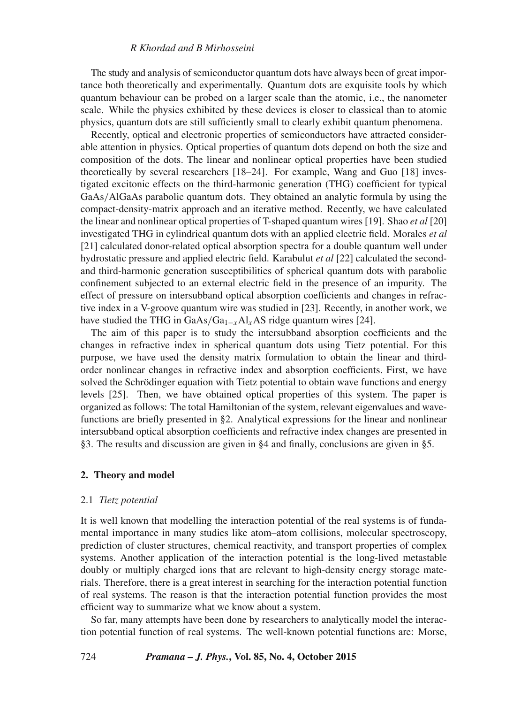#### *R Khordad and B Mirhosseini*

The study and analysis of semiconductor quantum dots have always been of great importance both theoretically and experimentally. Quantum dots are exquisite tools by which quantum behaviour can be probed on a larger scale than the atomic, i.e., the nanometer scale. While the physics exhibited by these devices is closer to classical than to atomic physics, quantum dots are still sufficiently small to clearly exhibit quantum phenomena.

Recently, optical and electronic properties of semiconductors have attracted considerable attention in physics. Optical properties of quantum dots depend on both the size and composition of the dots. The linear and nonlinear optical properties have been studied theoretically by several researchers [18–24]. For example, Wang and Guo [18] investigated excitonic effects on the third-harmonic generation (THG) coefficient for typical GaAs/AlGaAs parabolic quantum dots. They obtained an analytic formula by using the compact-density-matrix approach and an iterative method. Recently, we have calculated the linear and nonlinear optical properties of T-shaped quantum wires [19]. Shao *et al* [20] investigated THG in cylindrical quantum dots with an applied electric field. Morales *et al* [21] calculated donor-related optical absorption spectra for a double quantum well under hydrostatic pressure and applied electric field. Karabulut *et al* [22] calculated the secondand third-harmonic generation susceptibilities of spherical quantum dots with parabolic confinement subjected to an external electric field in the presence of an impurity. The effect of pressure on intersubband optical absorption coefficients and changes in refractive index in a V-groove quantum wire was studied in [23]. Recently, in another work, we have studied the THG in GaAs/Ga<sub>1−x</sub>Al<sub>x</sub>AS ridge quantum wires [24].

The aim of this paper is to study the intersubband absorption coefficients and the changes in refractive index in spherical quantum dots using Tietz potential. For this purpose, we have used the density matrix formulation to obtain the linear and thirdorder nonlinear changes in refractive index and absorption coefficients. First, we have solved the Schrödinger equation with Tietz potential to obtain wave functions and energy levels [25]. Then, we have obtained optical properties of this system. The paper is organized as follows: The total Hamiltonian of the system, relevant eigenvalues and wavefunctions are briefly presented in §2. Analytical expressions for the linear and nonlinear intersubband optical absorption coefficients and refractive index changes are presented in §3. The results and discussion are given in §4 and finally, conclusions are given in §5.

### **2. Theory and model**

#### 2.1 *Tietz potential*

It is well known that modelling the interaction potential of the real systems is of fundamental importance in many studies like atom–atom collisions, molecular spectroscopy, prediction of cluster structures, chemical reactivity, and transport properties of complex systems. Another application of the interaction potential is the long-lived metastable doubly or multiply charged ions that are relevant to high-density energy storage materials. Therefore, there is a great interest in searching for the interaction potential function of real systems. The reason is that the interaction potential function provides the most efficient way to summarize what we know about a system.

So far, many attempts have been done by researchers to analytically model the interaction potential function of real systems. The well-known potential functions are: Morse,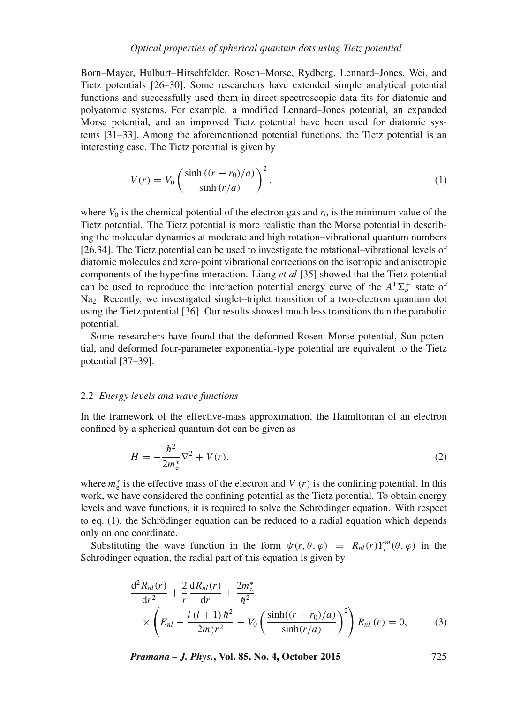Born–Mayer, Hulburt–Hirschfelder, Rosen–Morse, Rydberg, Lennard–Jones, Wei, and Tietz potentials [26–30]. Some researchers have extended simple analytical potential functions and successfully used them in direct spectroscopic data fits for diatomic and polyatomic systems. For example, a modified Lennard–Jones potential, an expanded Morse potential, and an improved Tietz potential have been used for diatomic systems [31–33]. Among the aforementioned potential functions, the Tietz potential is an interesting case. The Tietz potential is given by

$$
V(r) = V_0 \left( \frac{\sinh ((r - r_0)/a)}{\sinh (r/a)} \right)^2,
$$
\n<sup>(1)</sup>

where  $V_0$  is the chemical potential of the electron gas and  $r_0$  is the minimum value of the Tietz potential. The Tietz potential is more realistic than the Morse potential in describing the molecular dynamics at moderate and high rotation–vibrational quantum numbers [26,34]. The Tietz potential can be used to investigate the rotational–vibrational levels of diatomic molecules and zero-point vibrational corrections on the isotropic and anisotropic components of the hyperfine interaction. Liang *et al* [35] showed that the Tietz potential can be used to reproduce the interaction potential energy curve of the  $A^T\Sigma_u^+$  state of Na<sub>2</sub>. Recently, we investigated singlet–triplet transition of a two-electron quantum dot using the Tietz potential [36]. Our results showed much less transitions than the parabolic potential.

Some researchers have found that the deformed Rosen–Morse potential, Sun potential, and deformed four-parameter exponential-type potential are equivalent to the Tietz potential [37–39].

#### 2.2 *Energy le*v*els and wa*v*e functions*

In the framework of the effective-mass approximation, the Hamiltonian of an electron confined by a spherical quantum dot can be given as

$$
H = -\frac{\hbar^2}{2m_e^*} \nabla^2 + V(r),
$$
 (2)

where  $m_e^*$  is the effective mass of the electron and  $V(r)$  is the confining potential. In this work, we have considered the confining potential as the Tietz potential. To obtain energy levels and wave functions, it is required to solve the Schrödinger equation. With respect to eq. (1), the Schrödinger equation can be reduced to a radial equation which depends only on one coordinate.

Substituting the wave function in the form  $\psi(r, \theta, \varphi) = R_{nl}(r) Y_l^m(\theta, \varphi)$  in the Schrödinger equation, the radial part of this equation is given by

$$
\frac{d^2 R_{nl}(r)}{dr^2} + \frac{2}{r} \frac{dR_{nl}(r)}{dr} + \frac{2m_e^*}{\hbar^2} \times \left( E_{nl} - \frac{l(l+1)\hbar^2}{2m_e^*r^2} - V_0 \left( \frac{\sinh((r-r_0)/a)}{\sinh(r/a)} \right)^2 \right) R_{nl}(r) = 0,
$$
\n(3)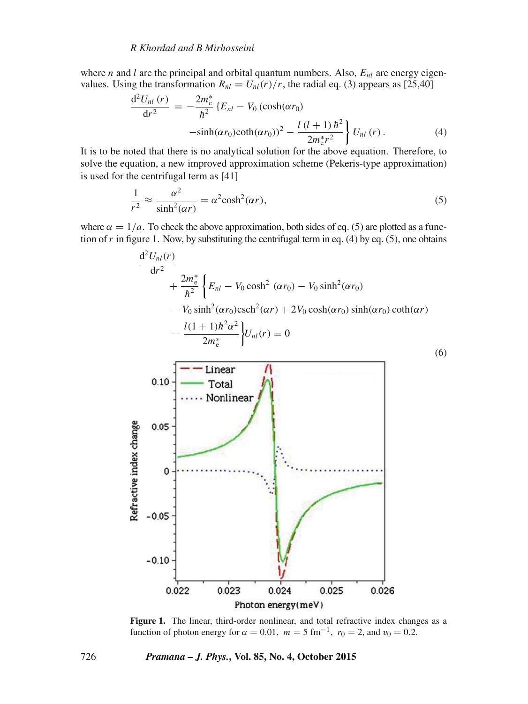where *n* and *l* are the principal and orbital quantum numbers. Also,  $E_{nl}$  are energy eigenvalues. Using the transformation  $R_{nl} = U_{nl}(r)/r$ , the radial eq. (3) appears as [25,40]

$$
\frac{d^2 U_{nl}(r)}{dr^2} = -\frac{2m_e^*}{\hbar^2} \left\{ E_{nl} - V_0 \left( \cosh(\alpha r_0) \right) -\sinh(\alpha r_0) \coth(\alpha r_0) \right\}^2 - \frac{l (l+1) \hbar^2}{2m_e^* r^2} \left\} U_{nl}(r) \,. \tag{4}
$$

It is to be noted that there is no analytical solution for the above equation. Therefore, to solve the equation, a new improved approximation scheme (Pekeris-type approximation) is used for the centrifugal term as [41]

$$
\frac{1}{r^2} \approx \frac{\alpha^2}{\sinh^2(\alpha r)} = \alpha^2 \cosh^2(\alpha r),\tag{5}
$$

where  $\alpha = 1/a$ . To check the above approximation, both sides of eq. (5) are plotted as a function of r in figure 1. Now, by substituting the centrifugal term in eq.  $(4)$  by eq. (5), one obtains



Figure 1. The linear, third-order nonlinear, and total refractive index changes as a function of photon energy for  $\alpha = 0.01$ ,  $m = 5$  fm<sup>-1</sup>,  $r_0 = 2$ , and  $v_0 = 0.2$ .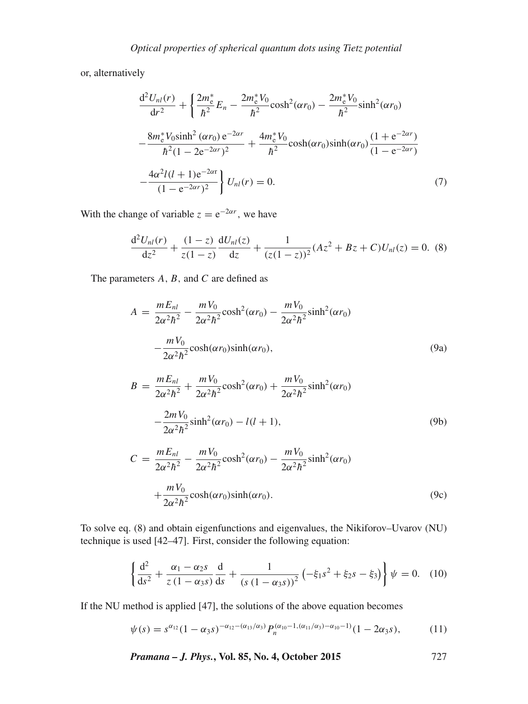or, alternatively

$$
\frac{d^2 U_{nl}(r)}{dr^2} + \left\{ \frac{2m_e^*}{h^2} E_n - \frac{2m_e^* V_0}{h^2} \cosh^2(\alpha r_0) - \frac{2m_e^* V_0}{h^2} \sinh^2(\alpha r_0) \right\}
$$

$$
- \frac{8m_e^* V_0 \sinh^2(\alpha r_0) e^{-2\alpha r}}{h^2 (1 - 2e^{-2\alpha r})^2} + \frac{4m_e^* V_0}{h^2} \cosh(\alpha r_0) \sinh(\alpha r_0) \frac{(1 + e^{-2\alpha r})}{(1 - e^{-2\alpha r})}
$$

$$
- \frac{4\alpha^2 l(l+1)e^{-2\alpha r}}{(1 - e^{-2\alpha r})^2} \right\} U_{nl}(r) = 0.
$$
(7)

With the change of variable  $z = e^{-2\alpha r}$ , we have

$$
\frac{d^2U_{nl}(r)}{dz^2} + \frac{(1-z)}{z(1-z)}\frac{dU_{nl}(z)}{dz} + \frac{1}{(z(1-z))^2}(Az^2 + Bz + C)U_{nl}(z) = 0.
$$
 (8)

The parameters  $A$ ,  $B$ , and  $C$  are defined as

$$
A = \frac{mE_{nl}}{2\alpha^2 \hbar^2} - \frac{mV_0}{2\alpha^2 \hbar^2} \cosh^2(\alpha r_0) - \frac{mV_0}{2\alpha^2 \hbar^2} \sinh^2(\alpha r_0)
$$

$$
-\frac{mV_0}{2\alpha^2 \hbar^2} \cosh(\alpha r_0) \sinh(\alpha r_0), \tag{9a}
$$

$$
B = \frac{mE_{nl}}{2\alpha^2\hbar^2} + \frac{mV_0}{2\alpha^2\hbar^2}\cosh^2(\alpha r_0) + \frac{mV_0}{2\alpha^2\hbar^2}\sinh^2(\alpha r_0) -\frac{2mV_0}{2\alpha^2\hbar^2}\sinh^2(\alpha r_0) - l(l+1),
$$
\n(9b)

$$
C = \frac{mE_{nl}}{2\alpha^2\hbar^2} - \frac{mV_0}{2\alpha^2\hbar^2}\cosh^2(\alpha r_0) - \frac{mV_0}{2\alpha^2\hbar^2}\sinh^2(\alpha r_0)
$$

$$
+ \frac{mV_0}{2\alpha^2\hbar^2}\cosh(\alpha r_0)\sinh(\alpha r_0).
$$
(9c)

To solve eq. (8) and obtain eigenfunctions and eigenvalues, the Nikiforov–Uvarov (NU) technique is used [42–47]. First, consider the following equation:

$$
\left\{\frac{\mathrm{d}^2}{\mathrm{d}s^2} + \frac{\alpha_1 - \alpha_2 s}{z(1 - \alpha_3 s)}\frac{\mathrm{d}}{\mathrm{d}s} + \frac{1}{(s(1 - \alpha_3 s))^2} \left(-\xi_1 s^2 + \xi_2 s - \xi_3\right)\right\}\psi = 0. \quad (10)
$$

If the NU method is applied [47], the solutions of the above equation becomes

$$
\psi(s) = s^{\alpha_{12}} (1 - \alpha_3 s)^{-\alpha_{12} - (\alpha_{13}/\alpha_3)} P_n^{(\alpha_{10} - 1, (\alpha_{11}/\alpha_3) - \alpha_{10} - 1)} (1 - 2\alpha_3 s), \tag{11}
$$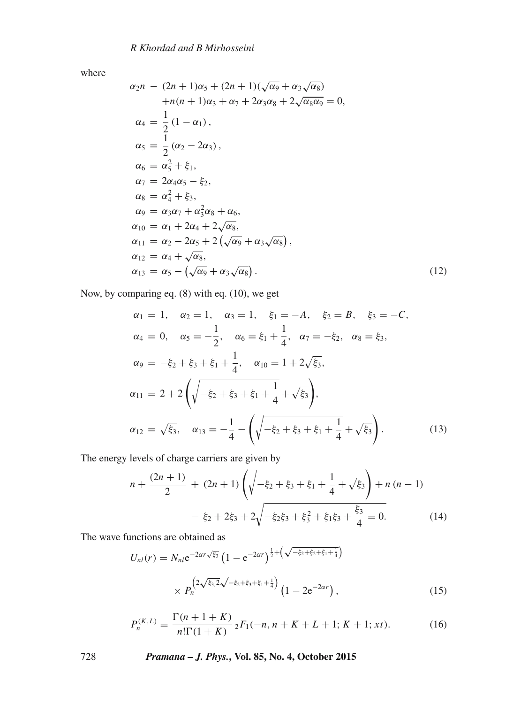where

$$
\alpha_2 n - (2n + 1)\alpha_5 + (2n + 1)(\sqrt{\alpha_9} + \alpha_3\sqrt{\alpha_8})
$$
  
\n
$$
+n(n + 1)\alpha_3 + \alpha_7 + 2\alpha_3\alpha_8 + 2\sqrt{\alpha_8\alpha_9} = 0,
$$
  
\n
$$
\alpha_4 = \frac{1}{2}(1 - \alpha_1),
$$
  
\n
$$
\alpha_5 = \frac{1}{2}(\alpha_2 - 2\alpha_3),
$$
  
\n
$$
\alpha_6 = \alpha_5^2 + \xi_1,
$$
  
\n
$$
\alpha_7 = 2\alpha_4\alpha_5 - \xi_2,
$$
  
\n
$$
\alpha_8 = \alpha_4^2 + \xi_3,
$$
  
\n
$$
\alpha_9 = \alpha_3\alpha_7 + \alpha_3^2\alpha_8 + \alpha_6,
$$
  
\n
$$
\alpha_{10} = \alpha_1 + 2\alpha_4 + 2\sqrt{\alpha_8},
$$
  
\n
$$
\alpha_{11} = \alpha_2 - 2\alpha_5 + 2(\sqrt{\alpha_9} + \alpha_3\sqrt{\alpha_8}),
$$
  
\n
$$
\alpha_{12} = \alpha_4 + \sqrt{\alpha_8},
$$
  
\n
$$
\alpha_{13} = \alpha_5 - (\sqrt{\alpha_9} + \alpha_3\sqrt{\alpha_8}).
$$
  
\n(12)

Now, by comparing eq. (8) with eq. (10), we get

$$
\alpha_1 = 1, \quad \alpha_2 = 1, \quad \alpha_3 = 1, \quad \xi_1 = -A, \quad \xi_2 = B, \quad \xi_3 = -C,
$$
  
\n
$$
\alpha_4 = 0, \quad \alpha_5 = -\frac{1}{2}, \quad \alpha_6 = \xi_1 + \frac{1}{4}, \quad \alpha_7 = -\xi_2, \quad \alpha_8 = \xi_3,
$$
  
\n
$$
\alpha_9 = -\xi_2 + \xi_3 + \xi_1 + \frac{1}{4}, \quad \alpha_{10} = 1 + 2\sqrt{\xi_3},
$$
  
\n
$$
\alpha_{11} = 2 + 2\left(\sqrt{-\xi_2 + \xi_3 + \xi_1 + \frac{1}{4}} + \sqrt{\xi_3}\right),
$$
  
\n
$$
\alpha_{12} = \sqrt{\xi_3}, \quad \alpha_{13} = -\frac{1}{4} - \left(\sqrt{-\xi_2 + \xi_3 + \xi_1 + \frac{1}{4}} + \sqrt{\xi_3}\right).
$$
\n(13)

The energy levels of charge carriers are given by

$$
n + \frac{(2n+1)}{2} + (2n+1)\left(\sqrt{-\xi_2 + \xi_3 + \xi_1 + \frac{1}{4}} + \sqrt{\xi_3}\right) + n(n-1)
$$

$$
- \xi_2 + 2\xi_3 + 2\sqrt{-\xi_2\xi_3 + \xi_3^2 + \xi_1\xi_3 + \frac{\xi_3}{4}} = 0.
$$
(14)

The wave functions are obtained as

$$
U_{nl}(r) = N_{nl} e^{-2\alpha r \sqrt{\xi_3}} \left(1 - e^{-2\alpha r}\right)^{\frac{1}{2} + \left(\sqrt{-\xi_2 + \xi_2 + \xi_1 + \frac{1}{4}}\right)} \times P_n^{\left(2\sqrt{\xi_3}, 2\sqrt{-\xi_2 + \xi_3 + \xi_1 + \frac{1}{4}}\right)} \left(1 - 2e^{-2\alpha r}\right),\tag{15}
$$

$$
P_n^{(K,L)} = \frac{\Gamma(n+1+K)}{n!\Gamma(1+K)} \, {}_2F_1(-n,n+K+L+1;K+1;xt). \tag{16}
$$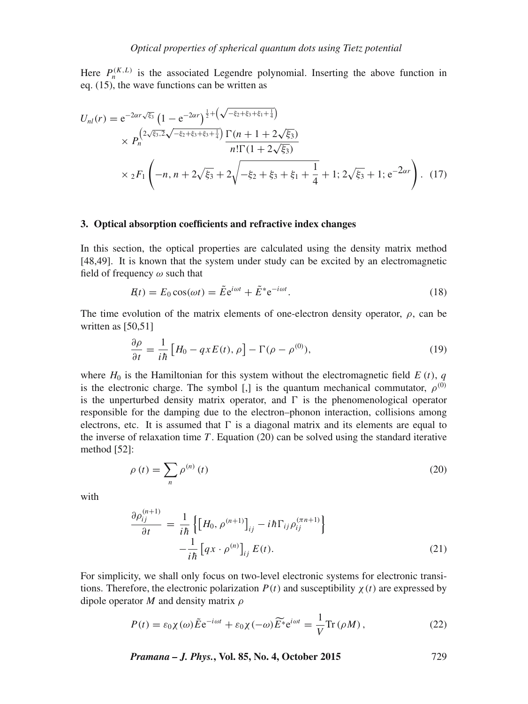Here  $P_n^{(K,L)}$  is the associated Legendre polynomial. Inserting the above function in eq. (15), the wave functions can be written as

$$
U_{nl}(r) = e^{-2\alpha r \sqrt{\xi_3}} \left( 1 - e^{-2\alpha r} \right)^{\frac{1}{2} + \left( \sqrt{-\xi_2 + \xi_3 + \xi_1 + \frac{1}{4}} \right)} \times P_n^{\left( 2\sqrt{\xi_3}, 2\sqrt{-\xi_2 + \xi_3 + \xi_3 + \frac{1}{4}} \right)} \frac{\Gamma(n+1+2\sqrt{\xi_3})}{n!\Gamma(1+2\sqrt{\xi_3})} \times {}_2F_1 \left( -n, n+2\sqrt{\xi_3} + 2\sqrt{-\xi_2 + \xi_3 + \xi_1 + \frac{1}{4}} + 1; 2\sqrt{\xi_3} + 1; e^{-2\alpha r} \right). \tag{17}
$$

#### **3. Optical absorption coefficients and refractive index changes**

In this section, the optical properties are calculated using the density matrix method [48,49]. It is known that the system under study can be excited by an electromagnetic field of frequency  $\omega$  such that

$$
H(t) = E_0 \cos(\omega t) = \tilde{E} e^{i\omega t} + \tilde{E}^* e^{-i\omega t}.
$$
\n(18)

The time evolution of the matrix elements of one-electron density operator,  $\rho$ , can be written as [50,51]

$$
\frac{\partial \rho}{\partial t} = \frac{1}{i\hbar} \left[ H_0 - q x E(t), \rho \right] - \Gamma(\rho - \rho^{(0)}),\tag{19}
$$

where  $H_0$  is the Hamiltonian for this system without the electromagnetic field  $E(t)$ , q is the electronic charge. The symbol [,] is the quantum mechanical commutator,  $\rho^{(0)}$ is the unperturbed density matrix operator, and  $\Gamma$  is the phenomenological operator responsible for the damping due to the electron–phonon interaction, collisions among electrons, etc. It is assumed that  $\Gamma$  is a diagonal matrix and its elements are equal to the inverse of relaxation time  $T$ . Equation (20) can be solved using the standard iterative method [52]:

$$
\rho(t) = \sum_{n} \rho^{(n)}(t) \tag{20}
$$

with

$$
\frac{\partial \rho_{ij}^{(n+1)}}{\partial t} = \frac{1}{i\hbar} \left\{ \left[ H_0, \rho^{(n+1)} \right]_{ij} - i\hbar \Gamma_{ij} \rho_{ij}^{(n+1)} \right\} \n- \frac{1}{i\hbar} \left[ qx \cdot \rho^{(n)} \right]_{ij} E(t).
$$
\n(21)

For simplicity, we shall only focus on two-level electronic systems for electronic transitions. Therefore, the electronic polarization  $P(t)$  and susceptibility  $\chi(t)$  are expressed by dipole operator M and density matrix  $\rho$ 

$$
P(t) = \varepsilon_0 \chi(\omega) \tilde{E} e^{-i\omega t} + \varepsilon_0 \chi(-\omega) \widetilde{E}^* e^{i\omega t} = \frac{1}{V} \text{Tr}(\rho M) , \qquad (22)
$$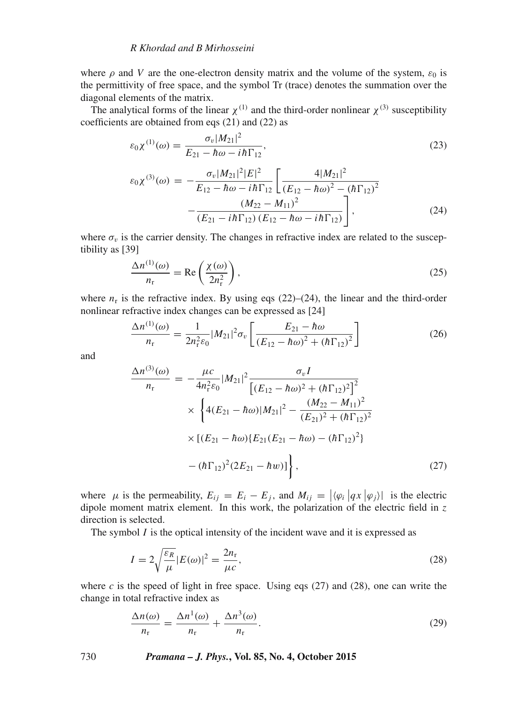where  $\rho$  and V are the one-electron density matrix and the volume of the system,  $\varepsilon_0$  is the permittivity of free space, and the symbol Tr (trace) denotes the summation over the diagonal elements of the matrix.

The analytical forms of the linear  $\chi^{(1)}$  and the third-order nonlinear  $\chi^{(3)}$  susceptibility coefficients are obtained from eqs (21) and (22) as

$$
\varepsilon_0 \chi^{(1)}(\omega) = \frac{\sigma_v |M_{21}|^2}{E_{21} - \hbar \omega - i\hbar \Gamma_{12}},
$$
\n(23)

$$
\varepsilon_0 \chi^{(3)}(\omega) = -\frac{\sigma_v |M_{21}|^2 |E|^2}{E_{12} - \hbar \omega - i\hbar \Gamma_{12}} \left[ \frac{4 |M_{21}|^2}{(E_{12} - \hbar \omega)^2 - (\hbar \Gamma_{12})^2} - \frac{(M_{22} - M_{11})^2}{(E_{21} - i\hbar \Gamma_{12}) (E_{12} - \hbar \omega - i\hbar \Gamma_{12})} \right],
$$
\n(24)

where  $\sigma_v$  is the carrier density. The changes in refractive index are related to the susceptibility as [39]

$$
\frac{\Delta n^{(1)}(\omega)}{n_{\rm r}} = \text{Re}\left(\frac{\chi(\omega)}{2n_{\rm r}^2}\right),\tag{25}
$$

where  $n_r$  is the refractive index. By using eqs (22)–(24), the linear and the third-order nonlinear refractive index changes can be expressed as [24]

$$
\frac{\Delta n^{(1)}(\omega)}{n_{\rm r}} = \frac{1}{2n_{\rm r}^2 \varepsilon_0} |M_{21}|^2 \sigma_v \left[ \frac{E_{21} - \hbar \omega}{\left(E_{12} - \hbar \omega\right)^2 + \left(\hbar \Gamma_{12}\right)^2} \right] \tag{26}
$$

and

$$
\frac{\Delta n^{(3)}(\omega)}{n_{\rm r}} = -\frac{\mu c}{4n_{\rm r}^2 \varepsilon_0} |M_{21}|^2 \frac{\sigma_v I}{\left[ (E_{12} - \hbar \omega)^2 + (\hbar \Gamma_{12})^2 \right]^2} \times \left\{ 4(E_{21} - \hbar \omega) |M_{21}|^2 - \frac{(M_{22} - M_{11})^2}{(E_{21})^2 + (\hbar \Gamma_{12})^2} \times \left[ (E_{21} - \hbar \omega) \{ E_{21} (E_{21} - \hbar \omega) - (\hbar \Gamma_{12})^2 \} \right] - (\hbar \Gamma_{12})^2 (2E_{21} - \hbar w) \right\},
$$
\n(27)

where  $\mu$  is the permeability,  $E_{ij} = E_i - E_j$ , and  $M_{ij} = |\langle \varphi_i | q x | \varphi_j \rangle|$  is the electric dipole moment matrix element. In this work, the polarization of the electric field in  $z$ direction is selected.

The symbol  $I$  is the optical intensity of the incident wave and it is expressed as

$$
I = 2\sqrt{\frac{\varepsilon_R}{\mu}}|E(\omega)|^2 = \frac{2n_r}{\mu c},\tag{28}
$$

where *c* is the speed of light in free space. Using eqs  $(27)$  and  $(28)$ , one can write the change in total refractive index as

$$
\frac{\Delta n(\omega)}{n_{\rm r}} = \frac{\Delta n^1(\omega)}{n_{\rm r}} + \frac{\Delta n^3(\omega)}{n_{\rm r}}.\tag{29}
$$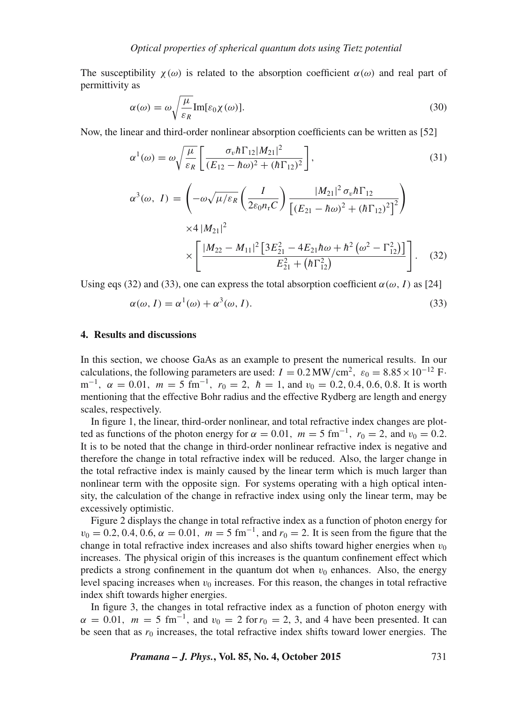The susceptibility  $\chi(\omega)$  is related to the absorption coefficient  $\alpha(\omega)$  and real part of permittivity as

$$
\alpha(\omega) = \omega \sqrt{\frac{\mu}{\varepsilon_R}} \text{Im}[\varepsilon_0 \chi(\omega)].
$$
\n(30)

Now, the linear and third-order nonlinear absorption coefficients can be written as [52]

$$
\alpha^1(\omega) = \omega \sqrt{\frac{\mu}{\varepsilon_R}} \left[ \frac{\sigma_v \hbar \Gamma_{12} |M_{21}|^2}{(E_{12} - \hbar \omega)^2 + (\hbar \Gamma_{12})^2} \right],
$$
\n(31)

$$
\alpha^{3}(\omega, I) = \left(-\omega \sqrt{\mu/\varepsilon_{R}} \left(\frac{I}{2\varepsilon_{0}n_{r}C}\right) \frac{|M_{21}|^{2} \sigma_{v} \hbar \Gamma_{12}}{\left[(E_{21} - \hbar \omega)^{2} + (\hbar \Gamma_{12})^{2}\right]^{2}}\right) \times 4 |M_{21}|^{2} \times \left[\frac{|M_{22} - M_{11}|^{2} \left[3E_{21}^{2} - 4E_{21}\hbar \omega + \hbar^{2} \left(\omega^{2} - \Gamma_{12}^{2}\right)\right]}{E_{21}^{2} + (\hbar \Gamma_{12}^{2})}\right].
$$
 (32)

Using eqs (32) and (33), one can express the total absorption coefficient  $\alpha(\omega, I)$  as [24]

$$
\alpha(\omega, I) = \alpha^1(\omega) + \alpha^3(\omega, I). \tag{33}
$$

#### **4. Results and discussions**

In this section, we choose GaAs as an example to present the numerical results. In our calculations, the following parameters are used:  $I = 0.2 \text{ MW/cm}^2$ ,  $\varepsilon_0 = 8.85 \times 10^{-12} \text{ F}$ . m<sup>-1</sup>,  $\alpha = 0.01$ ,  $m = 5$  fm<sup>-1</sup>,  $r_0 = 2$ ,  $\hbar = 1$ , and  $v_0 = 0.2, 0.4, 0.6, 0.8$ . It is worth mentioning that the effective Bohr radius and the effective Rydberg are length and energy scales, respectively.

In figure 1, the linear, third-order nonlinear, and total refractive index changes are plotted as functions of the photon energy for  $\alpha = 0.01$ ,  $m = 5$  fm<sup>-1</sup>,  $r_0 = 2$ , and  $v_0 = 0.2$ . It is to be noted that the change in third-order nonlinear refractive index is negative and therefore the change in total refractive index will be reduced. Also, the larger change in the total refractive index is mainly caused by the linear term which is much larger than nonlinear term with the opposite sign. For systems operating with a high optical intensity, the calculation of the change in refractive index using only the linear term, may be excessively optimistic.

Figure 2 displays the change in total refractive index as a function of photon energy for  $v_0 = 0.2, 0.4, 0.6, \alpha = 0.01, m = 5$  fm<sup>-1</sup>, and  $r_0 = 2$ . It is seen from the figure that the change in total refractive index increases and also shifts toward higher energies when  $v_0$ increases. The physical origin of this increases is the quantum confinement effect which predicts a strong confinement in the quantum dot when  $v_0$  enhances. Also, the energy level spacing increases when  $v_0$  increases. For this reason, the changes in total refractive index shift towards higher energies.

In figure 3, the changes in total refractive index as a function of photon energy with  $\alpha = 0.01$ ,  $m = 5$  fm<sup>-1</sup>, and  $v_0 = 2$  for  $r_0 = 2$ , 3, and 4 have been presented. It can be seen that as  $r_0$  increases, the total refractive index shifts toward lower energies. The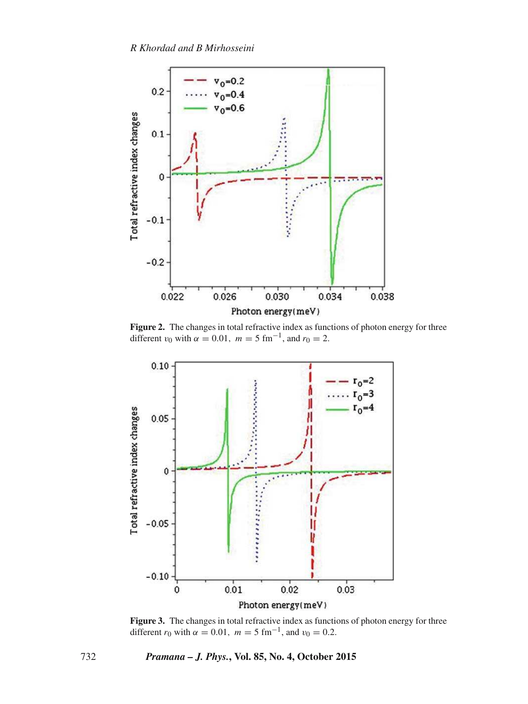

**Figure 2.** The changes in total refractive index as functions of photon energy for three different  $v_0$  with  $\alpha = 0.01$ ,  $m = 5$  fm<sup>-1</sup>, and  $r_0 = 2$ .



**Figure 3.** The changes in total refractive index as functions of photon energy for three different  $r_0$  with  $\alpha = 0.01$ ,  $m = 5$  fm<sup>-1</sup>, and  $v_0 = 0.2$ .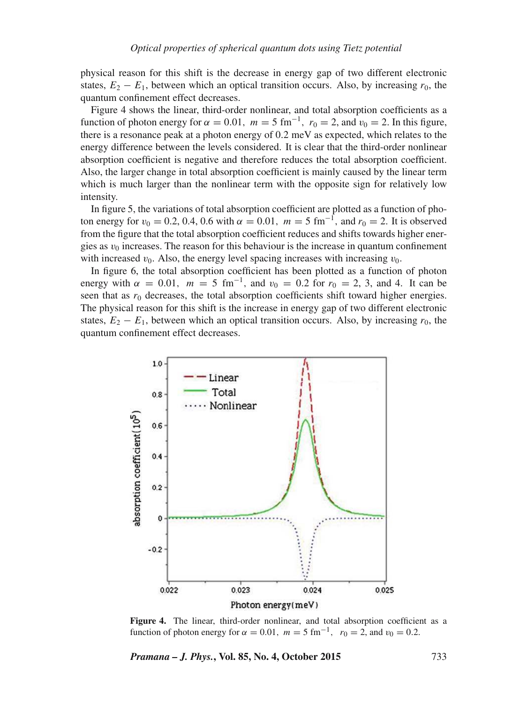physical reason for this shift is the decrease in energy gap of two different electronic states,  $E_2 - E_1$ , between which an optical transition occurs. Also, by increasing  $r_0$ , the quantum confinement effect decreases.

Figure 4 shows the linear, third-order nonlinear, and total absorption coefficients as a function of photon energy for  $\alpha = 0.01$ ,  $m = 5$  fm<sup>-1</sup>,  $r_0 = 2$ , and  $v_0 = 2$ . In this figure, there is a resonance peak at a photon energy of 0.2 meV as expected, which relates to the energy difference between the levels considered. It is clear that the third-order nonlinear absorption coefficient is negative and therefore reduces the total absorption coefficient. Also, the larger change in total absorption coefficient is mainly caused by the linear term which is much larger than the nonlinear term with the opposite sign for relatively low intensity.

In figure 5, the variations of total absorption coefficient are plotted as a function of photon energy for  $v_0 = 0.2, 0.4, 0.6$  with  $\alpha = 0.01, m = 5$  fm<sup>-1</sup>, and  $r_0 = 2$ . It is observed from the figure that the total absorption coefficient reduces and shifts towards higher energies as  $v_0$  increases. The reason for this behaviour is the increase in quantum confinement with increased  $v_0$ . Also, the energy level spacing increases with increasing  $v_0$ .

In figure 6, the total absorption coefficient has been plotted as a function of photon energy with  $\alpha = 0.01$ ,  $m = 5$  fm<sup>-1</sup>, and  $v_0 = 0.2$  for  $r_0 = 2, 3$ , and 4. It can be seen that as  $r_0$  decreases, the total absorption coefficients shift toward higher energies. The physical reason for this shift is the increase in energy gap of two different electronic states,  $E_2 - E_1$ , between which an optical transition occurs. Also, by increasing  $r_0$ , the quantum confinement effect decreases.



**Figure 4.** The linear, third-order nonlinear, and total absorption coefficient as a function of photon energy for  $\alpha = 0.01$ ,  $m = 5$  fm<sup>-1</sup>,  $r_0 = 2$ , and  $v_0 = 0.2$ .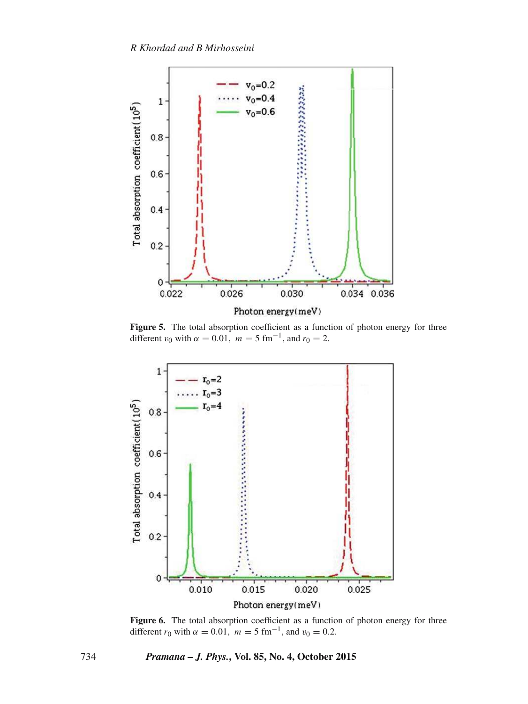

Figure 5. The total absorption coefficient as a function of photon energy for three different  $v_0$  with  $\alpha = 0.01$ ,  $m = 5$  fm<sup>-1</sup>, and  $r_0 = 2$ .



Figure 6. The total absorption coefficient as a function of photon energy for three different  $r_0$  with  $\alpha = 0.01$ ,  $m = 5$  fm<sup>-1</sup>, and  $v_0 = 0.2$ .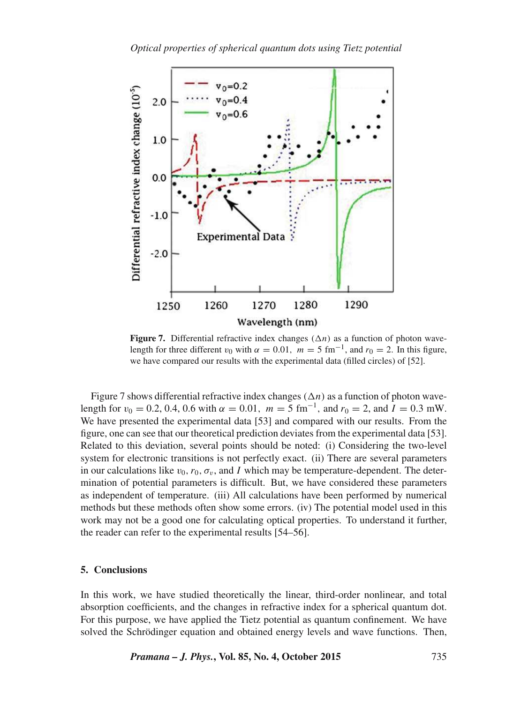

**Figure 7.** Differential refractive index changes  $(\Delta n)$  as a function of photon wavelength for three different  $v_0$  with  $\alpha = 0.01$ ,  $m = 5$  fm<sup>-1</sup>, and  $r_0 = 2$ . In this figure, we have compared our results with the experimental data (filled circles) of [52].

Figure 7 shows differential refractive index changes  $(\Delta n)$  as a function of photon wavelength for  $v_0 = 0.2, 0.4, 0.6$  with  $\alpha = 0.01$ ,  $m = 5$  fm<sup>-1</sup>, and  $r_0 = 2$ , and  $I = 0.3$  mW. We have presented the experimental data [53] and compared with our results. From the figure, one can see that our theoretical prediction deviates from the experimental data [53]. Related to this deviation, several points should be noted: (i) Considering the two-level system for electronic transitions is not perfectly exact. (ii) There are several parameters in our calculations like  $v_0$ ,  $r_0$ ,  $\sigma_v$ , and I which may be temperature-dependent. The determination of potential parameters is difficult. But, we have considered these parameters as independent of temperature. (iii) All calculations have been performed by numerical methods but these methods often show some errors. (iv) The potential model used in this work may not be a good one for calculating optical properties. To understand it further, the reader can refer to the experimental results [54–56].

#### **5. Conclusions**

In this work, we have studied theoretically the linear, third-order nonlinear, and total absorption coefficients, and the changes in refractive index for a spherical quantum dot. For this purpose, we have applied the Tietz potential as quantum confinement. We have solved the Schrödinger equation and obtained energy levels and wave functions. Then,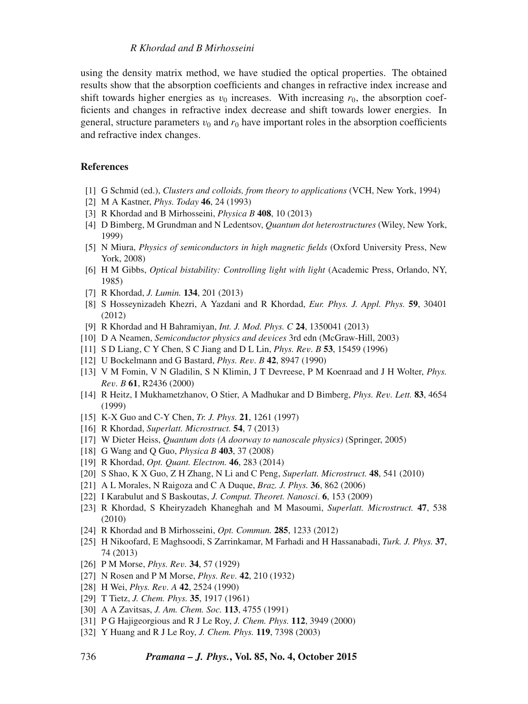#### *R Khordad and B Mirhosseini*

using the density matrix method, we have studied the optical properties. The obtained results show that the absorption coefficients and changes in refractive index increase and shift towards higher energies as  $v_0$  increases. With increasing  $r_0$ , the absorption coefficients and changes in refractive index decrease and shift towards lower energies. In general, structure parameters  $v_0$  and  $r_0$  have important roles in the absorption coefficients and refractive index changes.

#### **References**

- [1] G Schmid (ed.), *Clusters and colloids, from theory to applications* (VCH, New York, 1994)
- [2] M A Kastner, *Phys. Today* **46**, 24 (1993)
- [3] R Khordad and B Mirhosseini, *Physica B* **408**, 10 (2013)
- [4] D Bimberg, M Grundman and N Ledentsov, *Quantum dot heterostructures* (Wiley, New York, 1999)
- [5] N Miura, *Physics of semiconductors in high magnetic fields* (Oxford University Press, New York, 2008)
- [6] H M Gibbs, *Optical bistability: Controlling light with light* (Academic Press, Orlando, NY, 1985)
- [7] R Khordad, *J. Lumin.* **134**, 201 (2013)
- [8] S Hosseynizadeh Khezri, A Yazdani and R Khordad, *Eur. Phys. J. Appl. Phys.* **59**, 30401 (2012)
- [9] R Khordad and H Bahramiyan, *Int. J. Mod. Phys. C* **24**, 1350041 (2013)
- [10] D A Neamen, *Semiconductor physics and de*v*ices* 3rd edn (McGraw-Hill, 2003)
- [11] S D Liang, C Y Chen, S C Jiang and D L Lin, *Phys. Re*v*. B* **53**, 15459 (1996)
- [12] U Bockelmann and G Bastard, *Phys. Re*v*. B* **42**, 8947 (1990)
- [13] V M Fomin, V N Gladilin, S N Klimin, J T Devreese, P M Koenraad and J H Wolter, *Phys. Re*v*. B* **61**, R2436 (2000)
- [14] R Heitz, I Mukhametzhanov, O Stier, A Madhukar and D Bimberg, *Phys. Re*v*. Lett.* **83**, 4654 (1999)
- [15] K-X Guo and C-Y Chen, *Tr. J. Phys.* **21**, 1261 (1997)
- [16] R Khordad, *Superlatt. Microstruct.* **54**, 7 (2013)
- [17] W Dieter Heiss, *Quantum dots (A doorway to nanoscale physics)* (Springer, 2005)
- [18] G Wang and Q Guo, *Physica B* **403**, 37 (2008)
- [19] R Khordad, *Opt. Quant. Electron.* **46**, 283 (2014)
- [20] S Shao, K X Guo, Z H Zhang, N Li and C Peng, *Superlatt. Microstruct.* **48**, 541 (2010)
- [21] A L Morales, N Raigoza and C A Duque, *Braz. J. Phys.* **36**, 862 (2006)
- [22] I Karabulut and S Baskoutas, *J. Comput. Theoret. Nanosci*. **6**, 153 (2009)
- [23] R Khordad, S Kheiryzadeh Khaneghah and M Masoumi, *Superlatt. Microstruct.* **47**, 538 (2010)
- [24] R Khordad and B Mirhosseini, *Opt. Commun.* **285**, 1233 (2012)
- [25] H Nikoofard, E Maghsoodi, S Zarrinkamar, M Farhadi and H Hassanabadi, *Turk. J. Phys.* **37**, 74 (2013)
- [26] P M Morse, *Phys. Re*v*.* **34**, 57 (1929)
- [27] N Rosen and P M Morse, *Phys. Re*v*.* **42**, 210 (1932)
- [28] H Wei, *Phys. Re*v*. A* **42**, 2524 (1990)
- [29] T Tietz, *J. Chem. Phys.* **35**, 1917 (1961)
- [30] A A Zavitsas, *J. Am. Chem. Soc.* **113**, 4755 (1991)
- [31] P G Hajigeorgious and R J Le Roy, *J. Chem. Phys.* **112**, 3949 (2000)
- [32] Y Huang and R J Le Roy, *J. Chem. Phys.* **119**, 7398 (2003)